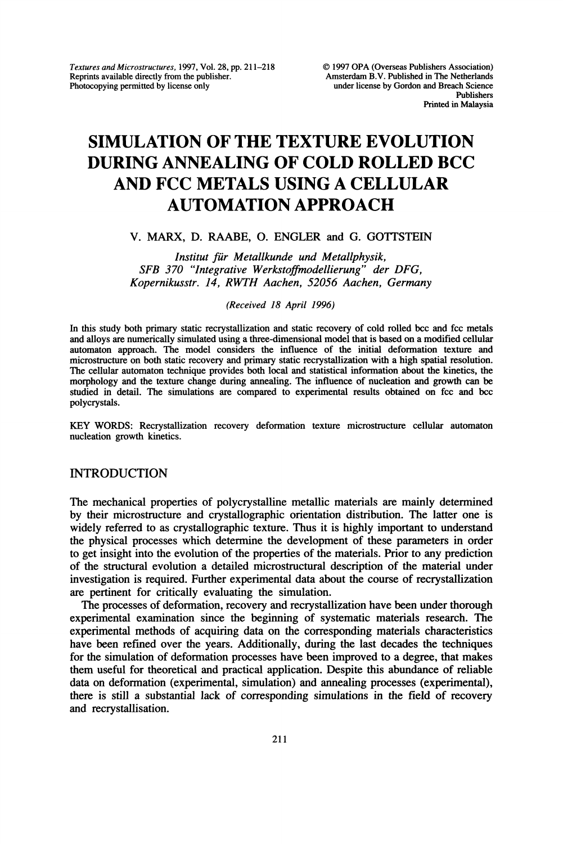# SIMULATION OF THE TEXTURE EVOLUTION DURING ANNEALING OF COLD ROLLED BCC AND FCC METALS USING A CELLULAR AUTOMATION APPROACH

#### V. MARX, D. RAABE, O. ENGLER and G. GOTTSTEIN

Institut fiir Metallkunde und Metallphysik, SFB 370 "Integrative Werkstoffmodellierung'" der DFG, Kopernikusstr. 14, RWTH Aachen, 52056 Aachen, Germany

(Received 18 April 1996)

In this study both primary static recrystallization and static recovery of cold rolled bcc and fcc metals and alloys are numerically simulated using a three-dimensional model that is based on a modified cellular automaton approach. The model considers the influence of the initial deformation texture and microstructure on both static recovery and primary static recrystallization with a high spatial resolution. The cellular automaton technique provides both local and statistical information about the kinetics, the morphology and the texture change during annealing. The influence of nucleation and growth can be studied in detail. The simulations are compared to experimental results obtained on fcc and bcc polycrystals.

KEY WORDS: Recrystallization recovery deformation texture microstructure cellular automaton nucleation growth kinetics.

#### INTRODUCTION

The mechanical properties of polycrystalline metallic materials are mainly determined by their microstructure and crystallographic orientation distribution. The latter one is widely referred to as crystallographic texture. Thus it is highly important to understand the physical processes which determine the development of these parameters in order to get insight into the evolution of the properties of the materials. Prior to any prediction of the structural evolution a detailed microstructural description of the material under investigation is required. Further experimental data about the course of recrystallization are pertinent for critically evaluating the simulation.

The processes of deformation, recovery and recrystallization have been under thorough experimental examination since the beginning of systematic materials research. The experimental methods of acquiring data on the corresponding materials characteristics have been refined over the years. Additionally, during the last decades the techniques for the simulation of deformation processes have been improved to a degree, that makes them useful for theoretical and practical application. Despite this abundance of reliable data on deformation (experimental, simulation) and annealing processes (experimental), there is still a substantial lack of corresponding simulations in the field of recovery and recrystallisation.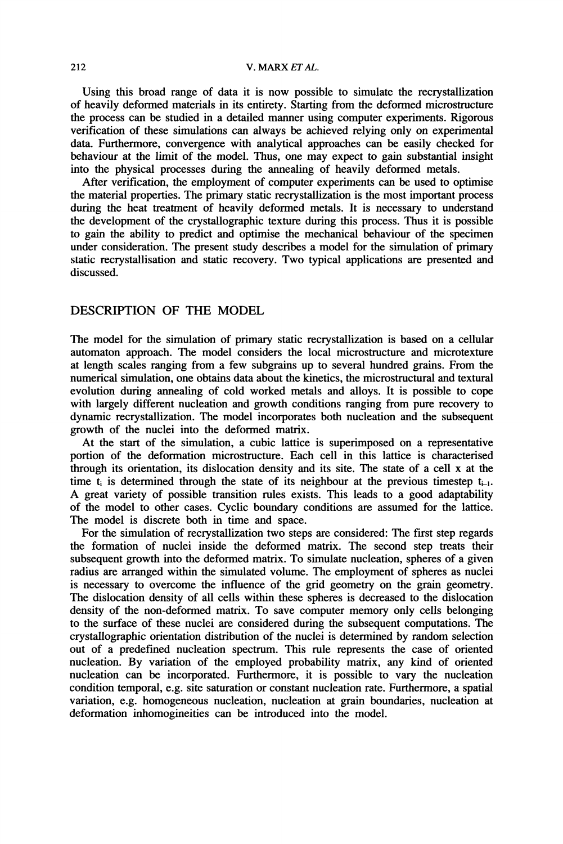#### 212 V. MARX ET AL.

Using this broad range of data it is now possible to simulate the recrystallization of heavily deformed materials in its entirety. Starting from the deformed microstructure the process can be studied in a detailed manner using computer experiments. Rigorous verification of these simulations can always be achieved relying only on experimental data. Furthermore, convergence with analytical approaches can be easily checked for behaviour at the limit of the model. Thus, one may expect to gain substantial insight into the physical processes during the annealing of heavily deformed metals.

After verification, the employment of computer experiments can be used to optimise the material properties. The primary static recrystallization is the most important process during the heat treatment of heavily deformed metals. It is necessary to understand the development of the crystallographic texture during this process. Thus it is possible to gain the ability to predict and optimise the mechanical behaviour of the specimen under consideration. The present study describes a model for the simulation of primary static recrystallisation and static recovery. Two typical applications are presented and discussed.

#### DESCRIPTION OF THE MODEL

The model for the simulation of primary static recrystallization is based on a cellular automaton approach. The model considers the local microstructure and microtexture at length scales ranging from a few subgrains up to several hundred grains. From the numerical simulation, one obtains data about the kinetics, the microstructural and textural evolution during annealing of cold worked metals and alloys. It is possible to cope with largely different nucleation and growth conditions ranging from pure recovery to dynamic recrystallization. The model incorporates both nucleation and the subsequent growth of the nuclei into the deformed matrix.

At the start of the simulation, a cubic lattice is superimposed on a representative portion of the deformation microstructure. Each cell in this lattice is characterised through its orientation, its dislocation density and its site. The state of a cell x at the time  $t_i$  is determined through the state of its neighbour at the previous timestep  $t_{i-1}$ . A great variety of possible transition rules exists. This leads to <sup>a</sup> good adaptability of the model to other cases. Cyclic boundary conditions are assumed for the lattice. The model is discrete both in time and space.

For the simulation of recrystallization two steps are considered: The first step regards the formation of nuclei inside the deformed matrix. The second step treats their subsequent growth into the deformed matrix. To simulate nucleation, spheres of a given radius are arranged within the simulated volume. The employment of spheres as nuclei is necessary to overcome the influence of the grid geometry on the grain geometry. The dislocation density of all cells within these spheres is decreased to the dislocation density of the non-deformed matrix. To save computer memory only cells belonging to the surface of these nuclei are considered during the subsequent computations. The crystallographic orientation distribution of the nuclei is determined by random selection out of a predefined nucleation spectrum. This rule represents the case of oriented nucleation. By variation of the employed probability matrix, any kind of oriented nucleation can be incorporated. Furthermore, it is possible to vary the nucleation condition temporal, e.g. site saturation or constant nucleation rate. Furthermore, a spatial variation, e.g. homogeneous nucleation, nucleation at grain boundaries, nucleation at deformation inhomogineities can be introduced into the model.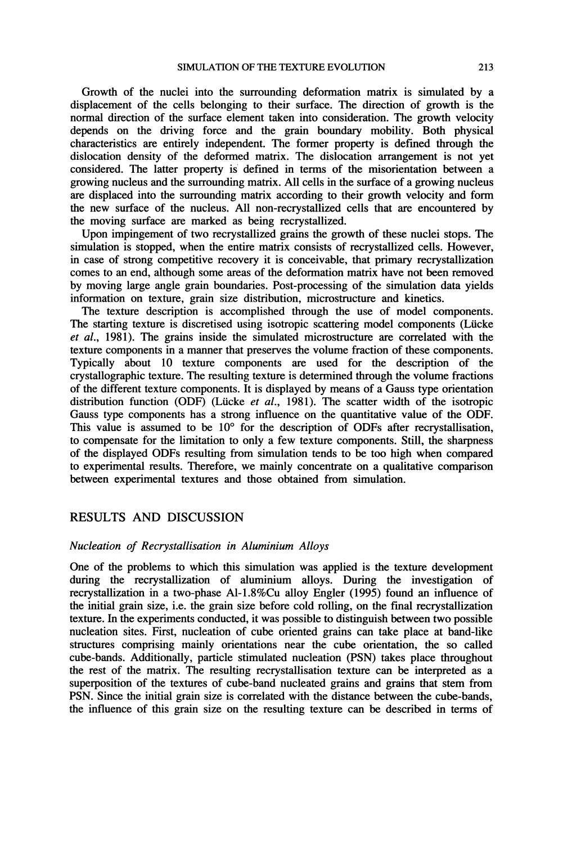Growth of the nuclei into the surrounding deformation matrix is simulated by a displacement of the cells belonging to their surface. The direction of growth is the normal direction of the surface element taken into consideration. The growth velocity depends on the driving force and the grain boundary mobility. Both physical characteristics are entirely independent. The former property is defined through the dislocation density of the deformed matrix. The dislocation arrangement is not yet considered. The latter property is defined in terms of the misorientation between a growing nucleus and the surrounding matrix. All cells in the surface of a growing nucleus are displaced into the surrounding matrix according to their growth velocity and form the new surface of the nucleus. All non-recrystallized cells that are encountered by the moving surface are marked as being recrystallized.

Upon impingement of two recrystallized grains the growth of these nuclei stops. The simulation is stopped, when the entire matrix consists of recrystallized cells. However, in case of strong competitive recovery it is conceivable, that primary recrystallization comes to an end, although some areas of the deformation matrix have not been removed by moving large angle grain boundaries. Post-processing of the simulation data yields information on texture, grain size distribution, microstructure and kinetics.

The texture description is accomplished through the use of model components. The starting texture is discretised using isotropic scattering model components (Lücke et al., 1981). The grains inside the simulated microstructure are correlated with the texture components in a manner that preserves the volume fraction of these components. Typically about 10 texture components are used for the description of the crystallographic texture. The resulting texture is determined through the volume fractions of the different texture components. It is displayed by means of a Gauss type orientation distribution function (ODF) (Lücke et al., 1981). The scatter width of the isotropic Gauss type components has a strong influence on the quantitative value of the ODF. This value is assumed to be  $10^{\circ}$  for the description of ODFs after recrystallisation, to compensate for the limitation to only a few texture components. Still, the sharpness of the displayed ODFs resulting from simulation tends to be too high when compared to experimental results. Therefore, we mainly concentrate on a qualitative comparison between experimental textures and those obtained from simulation.

### RESULTS AND DISCUSSION

#### Nucleation of Recrystallisation in Aluminium Alloys

One of the problems to which this simulation was applied is the texture development during the recrystallization of aluminium alloys. During the investigation of recrystallization in a two-phase Al-l.8%Cu alloy Engler (1995) found an influence of the initial grain size, i.e. the grain size before cold rolling, on the f'mal recrystallization texture. In the experiments conducted, it was possible to distinguish between two possible nucleation sites. First, nucleation of cube oriented grains can take place at band-like structures comprising mainly orientations near the cube orientation, the so called cube-bands. Additionally, particle stimulated nucleation (PSN) takes place throughout the rest of the matrix. The resulting recrystallisation texture can be interpreted as a superposition of the textures of cube-band nucleated grains and grains that stem from PSN. Since the initial grain size is correlated with the distance between the cube-bands, the influence of this grain size on the resulting texture can be described in terms of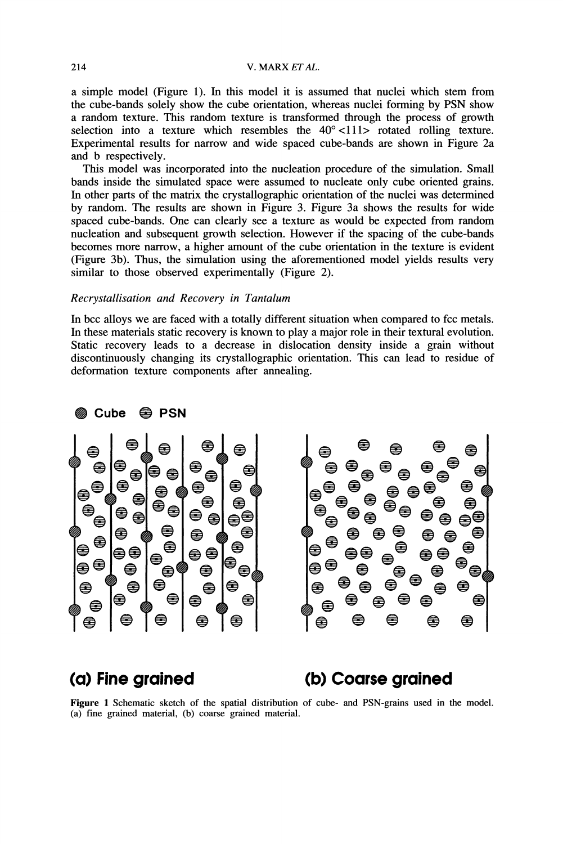a simple model (Figure 1). In this model it is assumed that nuclei which stem from the cube-bands solely show the cube orientation, whereas nuclei forming by PSN show a random texture. This random texture is transformed through the process of growth selection into a texture which resembles the  $40^{\circ}$  <111> rotated rolling texture. Experimental results for narrow and wide spaced cube-bands are shown in Figure 2a and b respectively.

This model was incorporated into the nucleation procedure of the simulation. Small bands inside the simulated space were assumed to nucleate only cube oriented grains. In other parts of the matrix the crystallographic orientation of the nuclei was determined by random. The results are shown in Figure 3. Figure 3a shows the results for wide spaced cube-bands. One can clearly see a texture as would be expected from random nucleation and subsequent growth selection. However if the spacing of the cube-bands becomes more narrow, a higher amount of the cube orientation in the texture is evident (Figure 3b). Thus, the simulation using the aforementioned model yields results very similar to those observed experimentally (Figure 2).

#### Recrystallisation and Recovery in Tantalum

In bcc alloys we are faced with a totally different situation when compared to fcc metals. In these materials static recovery is known to play a major role in their textural evolution. Static recovery leads to a decrease in dislocation density inside a grain without discontinuously changing its crystallographic orientation. This can lead to residue of deformation texture components after annealing.



Cube  $\bigcirc$  PSN



## (a) Fine grained (b) Coarse grained

Figure 1 Schematic sketch of the spatial distribution of cube- and PSN-grains used in the model. (a) fine grained material, (b) coarse grained material.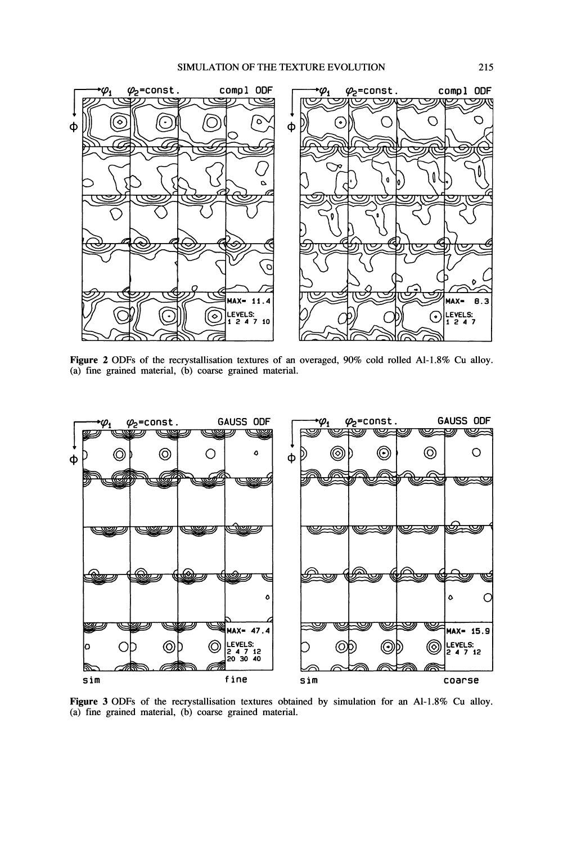

Figure 20DFs of the recrystallisation textures of an overaged, 90% cold rolled A1-1.8% Cu alloy. (a) fine grained material, (b) coarse grained material.



Figure 3 ODFs of the recrystallisation textures obtained by simulation for an Al-1.8% Cu alloy. (a) fine grained material, (b) coarse grained material.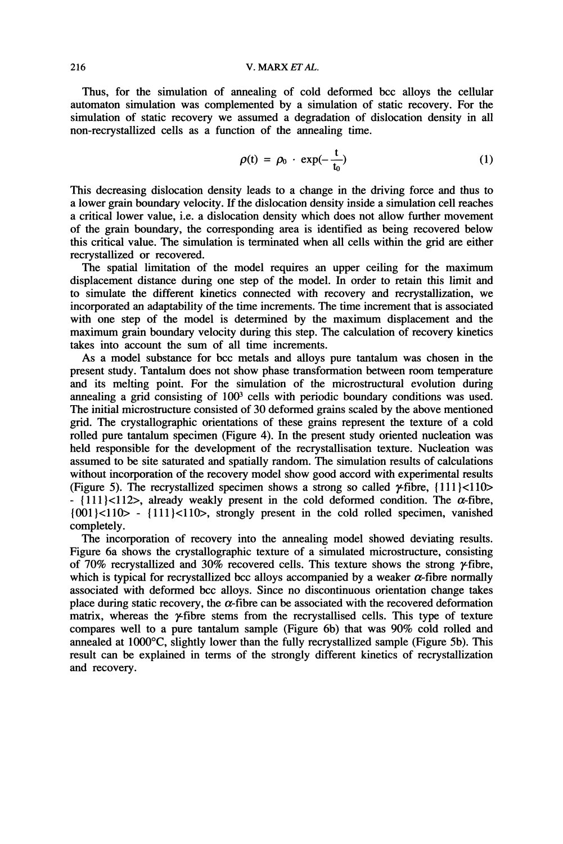Thus, for the simulation of annealing of cold deformed bcc alloys the cellular automaton simulation was complemented by a simulation of static recovery. For the simulation of static recovery we assumed a degradation of dislocation density in all non-recrystallized cells as a function of the annealing time.

$$
\rho(t) = \rho_0 \cdot \exp(-\frac{t}{t_0}) \tag{1}
$$

This decreasing dislocation density leads to a change in the driving force and thus to a lower grain boundary velocity. If the dislocation density inside a simulation cell reaches a critical lower value, i.e. a dislocation density which does not allow further movement of the grain boundary, the corresponding area is identified as being recovered below this critical value. The simulation is terminated when all cells within the grid are either recrystallized or recovered.

The spatial limitation of the model requires an upper ceiling for the maximum displacement distance during one step of the model. In order to retain this limit and to simulate the different kinetics connected with recovery and recrystallization, we incorporated an adaptability of the time increments. The time increment that is associated with one step of the model is determined by the maximum displacement and the maximum grain boundary velocity during this step. The calculation of recovery kinetics takes into account the sum of all time increments.

As a model substance for bcc metals and alloys pure tantalum was chosen in the present study. Tantalum does not show phase transformation between room temperature and its melting point. For the simulation of the microstructural evolution during annealing a grid consisting of  $100<sup>3</sup>$  cells with periodic boundary conditions was used. The initial microstructure consisted of 30 deformed grains scaled by the above mentioned grid. The crystallographic orientations of these grains represent the texture of a cold rolled pure tantalum specimen (Figure 4). In the present study oriented nucleation was held responsible for the development of the recrystallisation texture. Nucleation was assumed to be site saturated and spatially random. The simulation results of calculations without incorporation of the recovery model show good accord with experimental results (Figure 5). The recrystallized specimen shows a strong so called  $\gamma$ -fibre, {111}<110>  $-$  {111}<112>, already weakly present in the cold deformed condition. The  $\alpha$ -fibre,  ${001}$  <110> -  ${111}$  <110>, strongly present in the cold rolled specimen, vanished completely.

The incorporation of recovery into the annealing model showed deviating results. Figure 6a shows the crystallographic texture of a simulated microstructure, consisting of 70% recrystallized and 30% recovered cells. This texture shows the strong  $\gamma$ -fibre, which is typical for recrystallized bcc alloys accompanied by a weaker  $\alpha$ -fibre normally associated with deformed bcc alloys. Since no discontinuous orientation change takes place during static recovery, the  $\alpha$ -fibre can be associated with the recovered deformation matrix, whereas the  $\gamma$ -fibre stems from the recrystallised cells. This type of texture compares well to a pure tantalum sample (Figure 6b) that was 90% cold rolled and annealed at 1000C, slightly lower than the fully recrystallized sample (Figure 5b). This result can be explained in terms of the strongly different kinetics of recrystallization and recovery.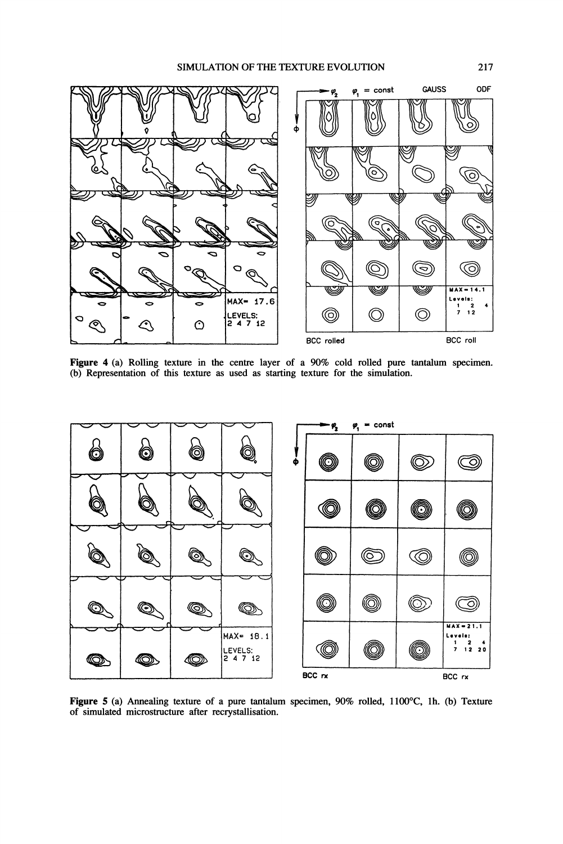

Figure 4 (a) Rolling texture in the centre layer of a 90% cold rolled pure tantalum specimen. (b) Representation of this texture as used as starting texture for the simulation.



Figure 5 (a) Annealing texture of a pure tantalum specimen,  $90\%$  rolled,  $1100\degree C$ , lh. (b) Texture of simulated microstructure after recrystallisation.